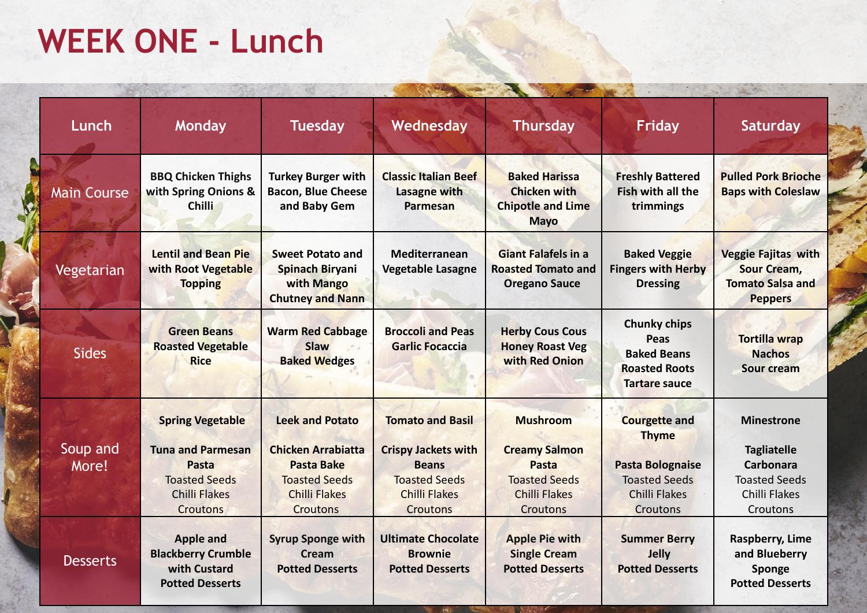## **WEEK ONE - Lunch**

| Lunch              | <b>Monday</b>                                                                                                                   | <b>Tuesday</b>                                                                                                                              | Wednesday                                                                                                                                | <b>Thursday</b>                                                                                                     | <b>Friday</b>                                                                                                        | <b>Saturday</b>                                                                                           |
|--------------------|---------------------------------------------------------------------------------------------------------------------------------|---------------------------------------------------------------------------------------------------------------------------------------------|------------------------------------------------------------------------------------------------------------------------------------------|---------------------------------------------------------------------------------------------------------------------|----------------------------------------------------------------------------------------------------------------------|-----------------------------------------------------------------------------------------------------------|
| <b>Main Course</b> | <b>BBQ Chicken Thighs</b><br>with Spring Onions &<br><b>Chilli</b>                                                              | <b>Turkey Burger with</b><br><b>Bacon, Blue Cheese</b><br>and Baby Gem                                                                      | <b>Classic Italian Beef</b><br><b>Lasagne with</b><br><b>Parmesan</b>                                                                    | <b>Baked Harissa</b><br><b>Chicken with</b><br><b>Chipotle and Lime</b><br><b>Mayo</b>                              | <b>Freshly Battered</b><br><b>Fish with all the</b><br>trimmings                                                     | <b>Pulled Pork Brioche</b><br><b>Baps with Coleslaw</b>                                                   |
| Vegetarian         | <b>Lentil and Bean Pie</b><br>with Root Vegetable<br><b>Topping</b>                                                             | <b>Sweet Potato and</b><br><b>Spinach Biryani</b><br>with Mango<br><b>Chutney and Nann</b>                                                  | <b>Mediterranean</b><br><b>Vegetable Lasagne</b>                                                                                         | <b>Giant Falafels in a</b><br><b>Roasted Tomato and</b><br><b>Oregano Sauce</b>                                     | <b>Baked Veggie</b><br><b>Fingers with Herby</b><br><b>Dressing</b>                                                  | <b>Veggie Fajitas with</b><br><b>Sour Cream,</b><br><b>Tomato Salsa and</b><br><b>Peppers</b>             |
| <b>Sides</b>       | <b>Green Beans</b><br><b>Roasted Vegetable</b><br><b>Rice</b>                                                                   | <b>Warm Red Cabbage</b><br><b>Slaw</b><br><b>Baked Wedges</b>                                                                               | <b>Broccoli and Peas</b><br><b>Garlic Focaccia</b>                                                                                       | <b>Herby Cous Cous</b><br><b>Honey Roast Veg</b><br>with Red Onion                                                  | <b>Chunky chips</b><br>Peas<br><b>Baked Beans</b><br><b>Roasted Roots</b><br><b>Tartare sauce</b>                    | <b>Tortilla wrap</b><br><b>Nachos</b><br><b>Sour cream</b>                                                |
| Soup and<br>More!  | <b>Spring Vegetable</b><br><b>Tuna and Parmesan</b><br>Pasta<br><b>Toasted Seeds</b><br><b>Chilli Flakes</b><br><b>Croutons</b> | <b>Leek and Potato</b><br><b>Chicken Arrabiatta</b><br><b>Pasta Bake</b><br><b>Toasted Seeds</b><br><b>Chilli Flakes</b><br><b>Croutons</b> | <b>Tomato and Basil</b><br><b>Crispy Jackets with</b><br><b>Beans</b><br><b>Toasted Seeds</b><br><b>Chilli Flakes</b><br><b>Croutons</b> | <b>Mushroom</b><br><b>Creamy Salmon</b><br>Pasta<br><b>Toasted Seeds</b><br><b>Chilli Flakes</b><br><b>Croutons</b> | <b>Courgette and</b><br><b>Thyme</b><br><b>Pasta Bolognaise</b><br><b>Toasted Seeds</b><br>Chilli Flakes<br>Croutons | <b>Minestrone</b><br><b>Tagliatelle</b><br>Carbonara<br><b>Toasted Seeds</b><br>Chilli Flakes<br>Croutons |
| <b>Desserts</b>    | <b>Apple and</b><br><b>Blackberry Crumble</b><br>with Custard<br><b>Potted Desserts</b>                                         | <b>Syrup Sponge with</b><br><b>Cream</b><br><b>Potted Desserts</b>                                                                          | <b>Ultimate Chocolate</b><br><b>Brownie</b><br><b>Potted Desserts</b>                                                                    | <b>Apple Pie with</b><br><b>Single Cream</b><br><b>Potted Desserts</b>                                              | <b>Summer Berry</b><br>Jelly<br><b>Potted Desserts</b>                                                               | Raspberry, Lime<br>and Blueberry<br>Sponge<br><b>Potted Desserts</b>                                      |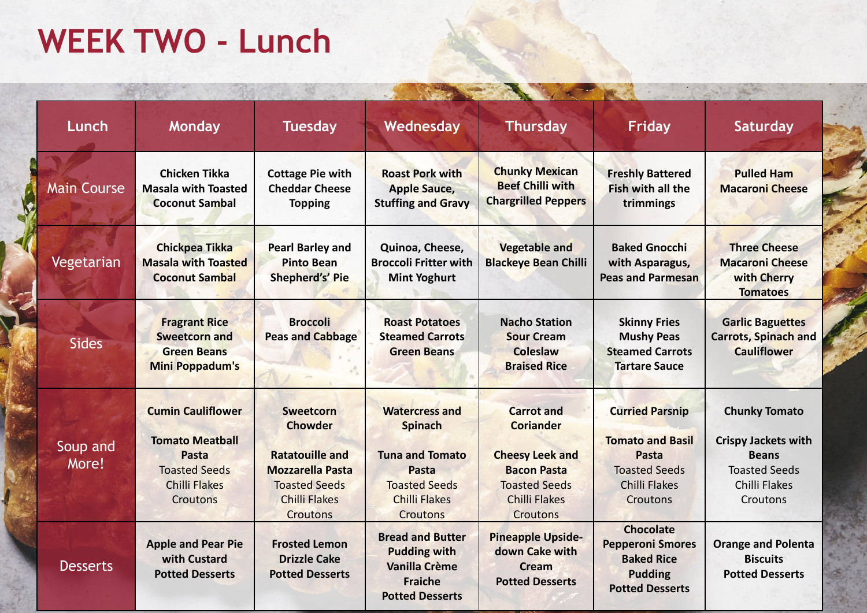## **WEEK TWO - Lunch**

| Lunch              | <b>Monday</b>                                                                                                                  | <b>Tuesday</b>                                                                                                                                      | Wednesday                                                                                                                                     | <b>Thursday</b>                                                                                                                                          | <b>Friday</b>                                                                                                          | Saturday                                                                                                                       |
|--------------------|--------------------------------------------------------------------------------------------------------------------------------|-----------------------------------------------------------------------------------------------------------------------------------------------------|-----------------------------------------------------------------------------------------------------------------------------------------------|----------------------------------------------------------------------------------------------------------------------------------------------------------|------------------------------------------------------------------------------------------------------------------------|--------------------------------------------------------------------------------------------------------------------------------|
| <b>Main Course</b> | <b>Chicken Tikka</b><br><b>Masala with Toasted</b><br><b>Coconut Sambal</b>                                                    | <b>Cottage Pie with</b><br><b>Cheddar Cheese</b><br><b>Topping</b>                                                                                  | <b>Roast Pork with</b><br><b>Apple Sauce,</b><br><b>Stuffing and Gravy</b>                                                                    | <b>Chunky Mexican</b><br><b>Beef Chilli with</b><br><b>Chargrilled Peppers</b>                                                                           | <b>Freshly Battered</b><br>Fish with all the<br>trimmings                                                              | <b>Pulled Ham</b><br><b>Macaroni Cheese</b>                                                                                    |
| Vegetarian         | <b>Chickpea Tikka</b><br><b>Masala with Toasted</b><br><b>Coconut Sambal</b>                                                   | <b>Pearl Barley and</b><br><b>Pinto Bean</b><br><b>Shepherd's' Pie</b>                                                                              | Quinoa, Cheese,<br><b>Broccoli Fritter with</b><br><b>Mint Yoghurt</b>                                                                        | <b>Vegetable and</b><br><b>Blackeye Bean Chilli</b>                                                                                                      | <b>Baked Gnocchi</b><br>with Asparagus,<br><b>Peas and Parmesan</b>                                                    | <b>Three Cheese</b><br><b>Macaroni Cheese</b><br>with Cherry<br><b>Tomatoes</b>                                                |
| <b>Sides</b>       | <b>Fragrant Rice</b><br><b>Sweetcorn and</b><br><b>Green Beans</b><br>Mini Poppadum's                                          | <b>Broccoli</b><br><b>Peas and Cabbage</b>                                                                                                          | <b>Roast Potatoes</b><br><b>Steamed Carrots</b><br><b>Green Beans</b>                                                                         | <b>Nacho Station</b><br><b>Sour Cream</b><br><b>Coleslaw</b><br><b>Braised Rice</b>                                                                      | <b>Skinny Fries</b><br><b>Mushy Peas</b><br><b>Steamed Carrots</b><br><b>Tartare Sauce</b>                             | <b>Garlic Baguettes</b><br><b>Carrots, Spinach and</b><br><b>Cauliflower</b>                                                   |
| Soup and<br>More!  | <b>Cumin Cauliflower</b><br><b>Tomato Meatball</b><br>Pasta<br><b>Toasted Seeds</b><br><b>Chilli Flakes</b><br><b>Croutons</b> | Sweetcorn<br><b>Chowder</b><br><b>Ratatouille and</b><br><b>Mozzarella Pasta</b><br><b>Toasted Seeds</b><br><b>Chilli Flakes</b><br><b>Croutons</b> | <b>Watercress and</b><br><b>Spinach</b><br><b>Tuna and Tomato</b><br>Pasta<br><b>Toasted Seeds</b><br><b>Chilli Flakes</b><br><b>Croutons</b> | <b>Carrot</b> and<br><b>Coriander</b><br><b>Cheesy Leek and</b><br><b>Bacon Pasta</b><br><b>Toasted Seeds</b><br><b>Chilli Flakes</b><br><b>Croutons</b> | <b>Curried Parsnip</b><br><b>Tomato and Basil</b><br>Pasta<br><b>Toasted Seeds</b><br><b>Chilli Flakes</b><br>Croutons | <b>Chunky Tomato</b><br><b>Crispy Jackets with</b><br><b>Beans</b><br><b>Toasted Seeds</b><br><b>Chilli Flakes</b><br>Croutons |
| <b>Desserts</b>    | <b>Apple and Pear Pie</b><br>with Custard<br><b>Potted Desserts</b>                                                            | <b>Frosted Lemon</b><br><b>Drizzle Cake</b><br><b>Potted Desserts</b>                                                                               | <b>Bread and Butter</b><br><b>Pudding with</b><br><b>Vanilla Crème</b><br><b>Fraiche</b><br><b>Potted Desserts</b>                            | <b>Pineapple Upside-</b><br>down Cake with<br><b>Cream</b><br><b>Potted Desserts</b>                                                                     | <b>Chocolate</b><br><b>Pepperoni Smores</b><br><b>Baked Rice</b><br><b>Pudding</b><br><b>Potted Desserts</b>           | <b>Orange and Polenta</b><br><b>Biscuits</b><br><b>Potted Desserts</b>                                                         |